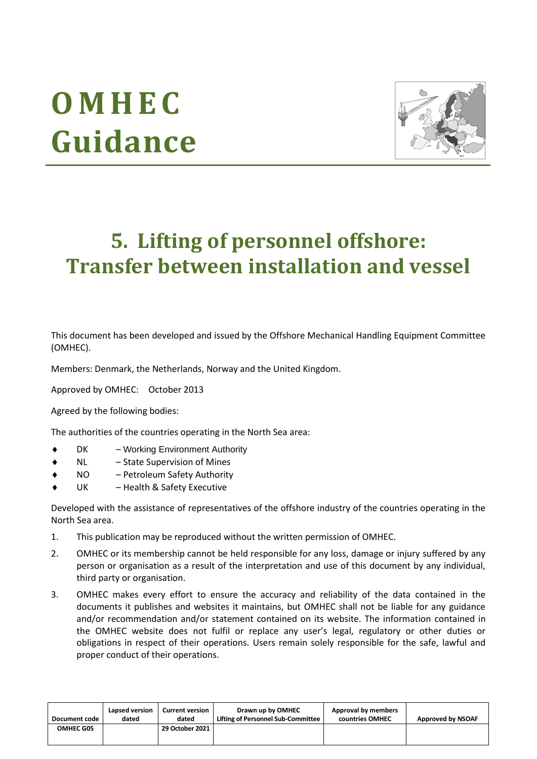# **O M H E C Guidance**



# **5. Lifting of personnel offshore: Transfer between installation and vessel**

This document has been developed and issued by the Offshore Mechanical Handling Equipment Committee (OMHEC).

Members: Denmark, the Netherlands, Norway and the United Kingdom.

Approved by OMHEC: October 2013

Agreed by the following bodies:

The authorities of the countries operating in the North Sea area:

- DK Working Environment Authority
- NL State Supervision of Mines
- NO Petroleum Safety Authority
- UK Health & Safety Executive

Developed with the assistance of representatives of the offshore industry of the countries operating in the North Sea area.

- 1. This publication may be reproduced without the written permission of OMHEC.
- 2. OMHEC or its membership cannot be held responsible for any loss, damage or injury suffered by any person or organisation as a result of the interpretation and use of this document by any individual, third party or organisation.
- 3. OMHEC makes every effort to ensure the accuracy and reliability of the data contained in the documents it publishes and websites it maintains, but OMHEC shall not be liable for any guidance and/or recommendation and/or statement contained on its website. The information contained in the OMHEC website does not fulfil or replace any user's legal, regulatory or other duties or obligations in respect of their operations. Users remain solely responsible for the safe, lawful and proper conduct of their operations.

| Document code    | Lapsed version<br>dated | <b>Current version</b><br>dated | Drawn up by OMHEC<br>Lifting of Personnel Sub-Committee | Approval by members<br>countries OMHEC | <b>Approved by NSOAF</b> |
|------------------|-------------------------|---------------------------------|---------------------------------------------------------|----------------------------------------|--------------------------|
| <b>OMHEC G05</b> |                         | 29 October 2021                 |                                                         |                                        |                          |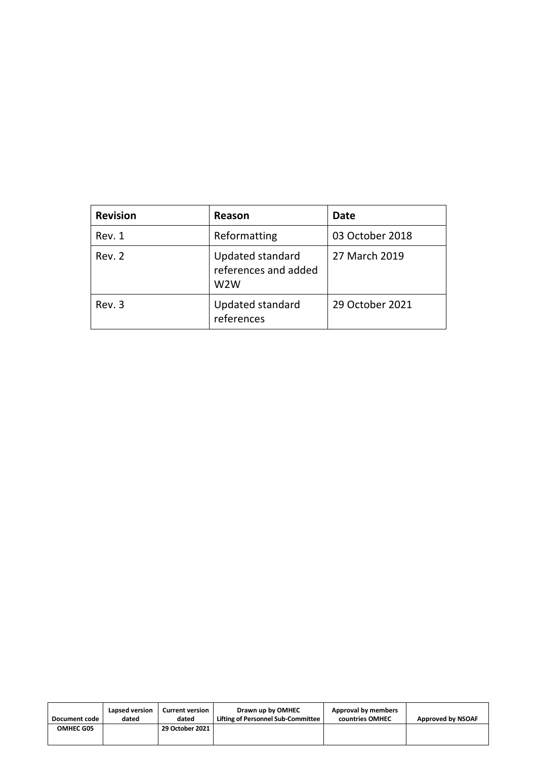| <b>Revision</b> | Reason                                                       | Date            |
|-----------------|--------------------------------------------------------------|-----------------|
| Rev. 1          | Reformatting                                                 | 03 October 2018 |
| Rev. 2          | Updated standard<br>references and added<br>W <sub>2</sub> W | 27 March 2019   |
| Rev. 3          | Updated standard<br>references                               | 29 October 2021 |

| Document code    | Lapsed version<br>dated | <b>Current version</b><br>dated | Drawn up by OMHEC<br>Lifting of Personnel Sub-Committee | Approval by members<br>countries OMHEC | <b>Approved by NSOAF</b> |
|------------------|-------------------------|---------------------------------|---------------------------------------------------------|----------------------------------------|--------------------------|
| <b>OMHEC G05</b> |                         | 29 October 2021                 |                                                         |                                        |                          |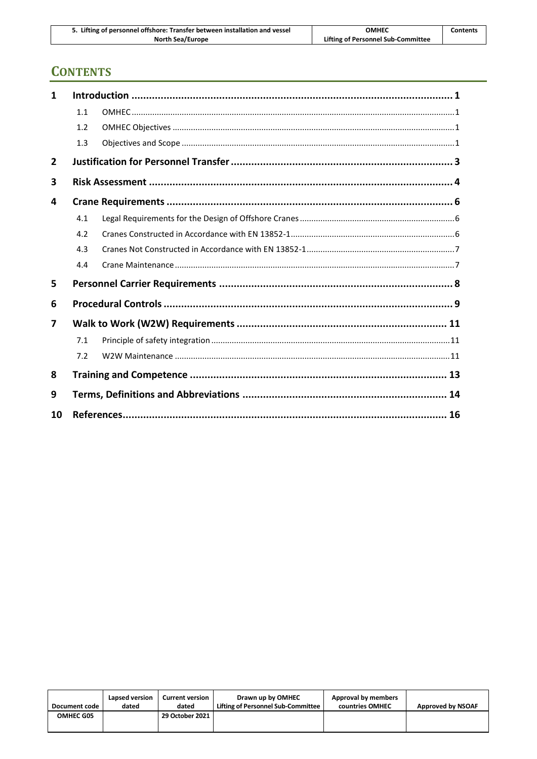| 5. Lifting of personnel offshore: Transfer between installation and vessel | <b>OMHEC</b>                              | <b>Contents</b> |
|----------------------------------------------------------------------------|-------------------------------------------|-----------------|
| <b>North Sea/Europe</b>                                                    | <b>Lifting of Personnel Sub-Committee</b> |                 |

# **CONTENTS**

| 1  |     |  |
|----|-----|--|
|    | 1.1 |  |
|    | 1.2 |  |
|    | 1.3 |  |
| 2  |     |  |
| 3  |     |  |
| 4  |     |  |
|    | 4.1 |  |
|    | 4.2 |  |
|    | 4.3 |  |
|    | 4.4 |  |
| 5  |     |  |
| 6  |     |  |
| 7  |     |  |
|    | 7.1 |  |
|    | 7.2 |  |
| 8  |     |  |
| 9  |     |  |
| 10 |     |  |

| Document code    | Lapsed version<br>dated | <b>Current version</b><br>dated | Drawn up by OMHEC<br>Lifting of Personnel Sub-Committee | Approval by members<br>countries OMHEC | <b>Approved by NSOAF</b> |
|------------------|-------------------------|---------------------------------|---------------------------------------------------------|----------------------------------------|--------------------------|
| <b>OMHEC G05</b> |                         | 29 October 2021                 |                                                         |                                        |                          |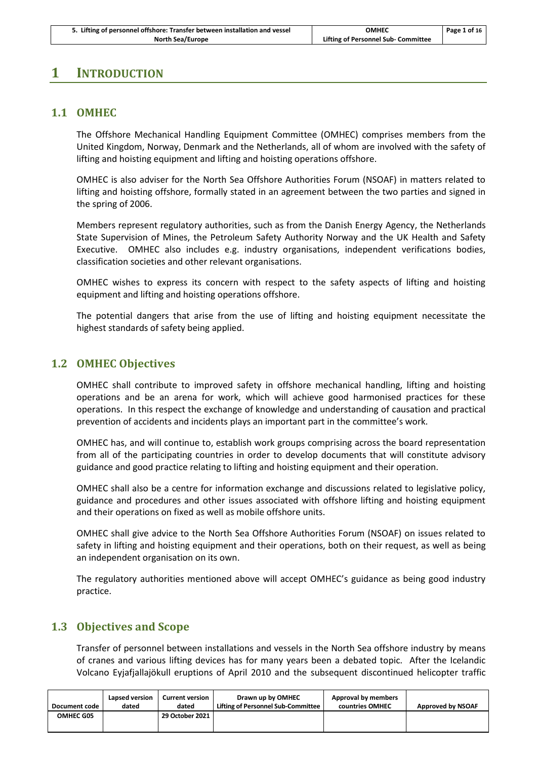# <span id="page-3-1"></span><span id="page-3-0"></span>**1 INTRODUCTION**

#### **1.1 OMHEC**

The Offshore Mechanical Handling Equipment Committee (OMHEC) comprises members from the United Kingdom, Norway, Denmark and the Netherlands, all of whom are involved with the safety of lifting and hoisting equipment and lifting and hoisting operations offshore.

OMHEC is also adviser for the North Sea Offshore Authorities Forum (NSOAF) in matters related to lifting and hoisting offshore, formally stated in an agreement between the two parties and signed in the spring of 2006.

Members represent regulatory authorities, such as from the Danish Energy Agency, the Netherlands State Supervision of Mines, the Petroleum Safety Authority Norway and the UK Health and Safety Executive. OMHEC also includes e.g. industry organisations, independent verifications bodies, classification societies and other relevant organisations.

OMHEC wishes to express its concern with respect to the safety aspects of lifting and hoisting equipment and lifting and hoisting operations offshore.

The potential dangers that arise from the use of lifting and hoisting equipment necessitate the highest standards of safety being applied.

#### <span id="page-3-2"></span>**1.2 OMHEC Objectives**

OMHEC shall contribute to improved safety in offshore mechanical handling, lifting and hoisting operations and be an arena for work, which will achieve good harmonised practices for these operations. In this respect the exchange of knowledge and understanding of causation and practical prevention of accidents and incidents plays an important part in the committee's work.

OMHEC has, and will continue to, establish work groups comprising across the board representation from all of the participating countries in order to develop documents that will constitute advisory guidance and good practice relating to lifting and hoisting equipment and their operation.

OMHEC shall also be a centre for information exchange and discussions related to legislative policy, guidance and procedures and other issues associated with offshore lifting and hoisting equipment and their operations on fixed as well as mobile offshore units.

OMHEC shall give advice to the North Sea Offshore Authorities Forum (NSOAF) on issues related to safety in lifting and hoisting equipment and their operations, both on their request, as well as being an independent organisation on its own.

The regulatory authorities mentioned above will accept OMHEC's guidance as being good industry practice.

#### <span id="page-3-3"></span>**1.3 Objectives and Scope**

Transfer of personnel between installations and vessels in the North Sea offshore industry by means of cranes and various lifting devices has for many years been a debated topic. After the Icelandic Volcano Eyjafjallajökull eruptions of April 2010 and the subsequent discontinued helicopter traffic

| Document code    | Lapsed version<br>dated | <b>Current version</b><br>dated | Drawn up by OMHEC<br>Lifting of Personnel Sub-Committee | Approval by members<br>countries OMHEC | <b>Approved by NSOAF</b> |
|------------------|-------------------------|---------------------------------|---------------------------------------------------------|----------------------------------------|--------------------------|
| <b>OMHEC GOS</b> |                         | 29 October 2021                 |                                                         |                                        |                          |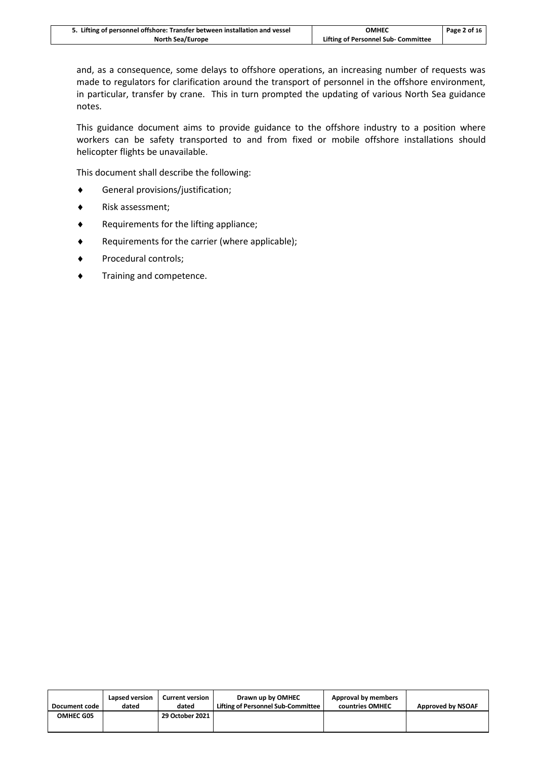| 5. Lifting of personnel offshore: Transfer between installation and vessel | OMHEC                               | Page 2 of 16 |
|----------------------------------------------------------------------------|-------------------------------------|--------------|
| <b>North Sea/Europe</b>                                                    | Lifting of Personnel Sub- Committee |              |

and, as a consequence, some delays to offshore operations, an increasing number of requests was made to regulators for clarification around the transport of personnel in the offshore environment, in particular, transfer by crane. This in turn prompted the updating of various North Sea guidance notes.

This guidance document aims to provide guidance to the offshore industry to a position where workers can be safety transported to and from fixed or mobile offshore installations should helicopter flights be unavailable.

This document shall describe the following:

- General provisions/justification;
- Risk assessment;
- Requirements for the lifting appliance;
- Requirements for the carrier (where applicable);
- ◆ Procedural controls;
- **Training and competence.**

| Document code | Lapsed version<br>dated | <b>Current version</b><br>dated | Drawn up by OMHEC<br>Lifting of Personnel Sub-Committee | Approval by members<br>countries OMHEC | <b>Approved by NSOAF</b> |
|---------------|-------------------------|---------------------------------|---------------------------------------------------------|----------------------------------------|--------------------------|
| OMHEC G05     |                         | 29 October 2021                 |                                                         |                                        |                          |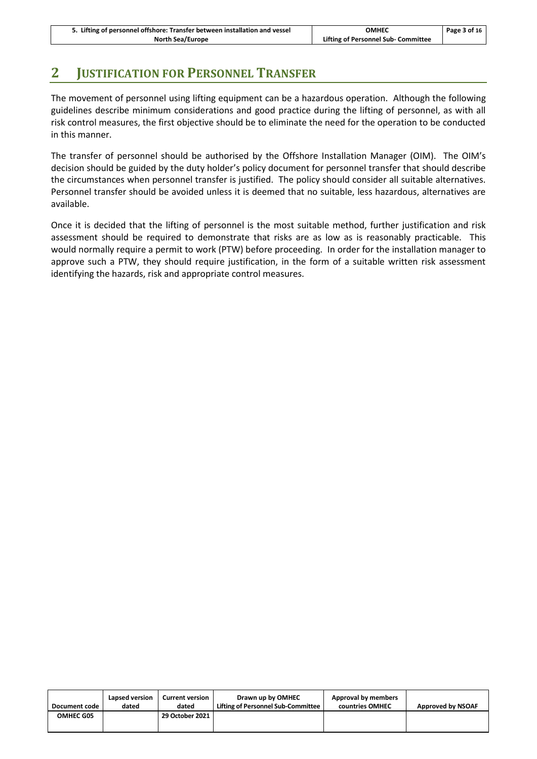| 5. Lifting of personnel offshore: Transfer between installation and vessel | ОМНЕС                               | Page 3 of 16 |
|----------------------------------------------------------------------------|-------------------------------------|--------------|
| <b>North Sea/Europe</b>                                                    | Lifting of Personnel Sub- Committee |              |

# <span id="page-5-0"></span>**2 JUSTIFICATION FOR PERSONNEL TRANSFER**

The movement of personnel using lifting equipment can be a hazardous operation. Although the following guidelines describe minimum considerations and good practice during the lifting of personnel, as with all risk control measures, the first objective should be to eliminate the need for the operation to be conducted in this manner.

The transfer of personnel should be authorised by the Offshore Installation Manager (OIM). The OIM's decision should be guided by the duty holder's policy document for personnel transfer that should describe the circumstances when personnel transfer is justified. The policy should consider all suitable alternatives. Personnel transfer should be avoided unless it is deemed that no suitable, less hazardous, alternatives are available.

Once it is decided that the lifting of personnel is the most suitable method, further justification and risk assessment should be required to demonstrate that risks are as low as is reasonably practicable. This would normally require a permit to work (PTW) before proceeding. In order for the installation manager to approve such a PTW, they should require justification, in the form of a suitable written risk assessment identifying the hazards, risk and appropriate control measures.

| Document code    | Lapsed version<br>dated | <b>Current version</b><br>dated | Drawn up by OMHEC<br>Lifting of Personnel Sub-Committee | Approval by members<br>countries OMHEC | <b>Approved by NSOAF</b> |
|------------------|-------------------------|---------------------------------|---------------------------------------------------------|----------------------------------------|--------------------------|
| <b>OMHEC G05</b> |                         | 29 October 2021                 |                                                         |                                        |                          |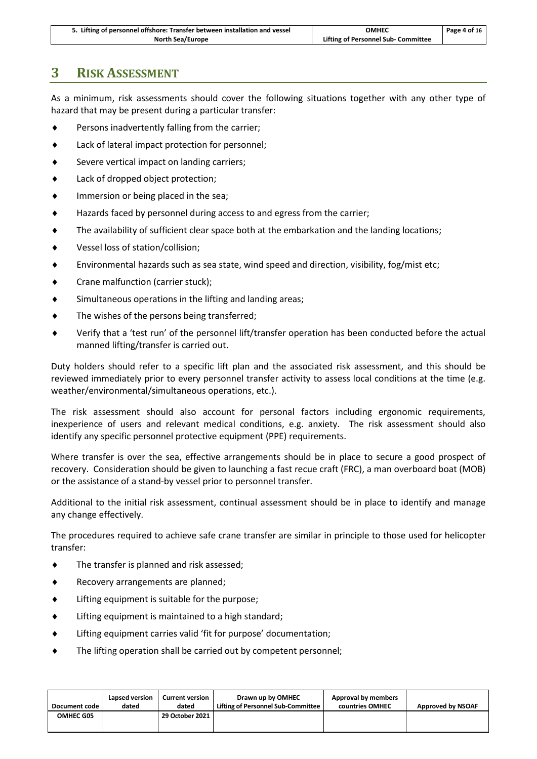| 5. Lifting of personnel offshore: Transfer between installation and vessel | омнес                              | Page 4 of 16 |
|----------------------------------------------------------------------------|------------------------------------|--------------|
| <b>North Sea/Europe</b>                                                    | Lifting of Personnel Sub-Committee |              |

# <span id="page-6-0"></span>**3 RISK ASSESSMENT**

As a minimum, risk assessments should cover the following situations together with any other type of hazard that may be present during a particular transfer:

- ◆ Persons inadvertently falling from the carrier;
- ◆ Lack of lateral impact protection for personnel;
- Severe vertical impact on landing carriers;
- Lack of dropped object protection;
- $\bullet$  Immersion or being placed in the sea;
- Hazards faced by personnel during access to and egress from the carrier;
- The availability of sufficient clear space both at the embarkation and the landing locations;
- Vessel loss of station/collision;
- Environmental hazards such as sea state, wind speed and direction, visibility, fog/mist etc;
- Crane malfunction (carrier stuck);
- Simultaneous operations in the lifting and landing areas;
- The wishes of the persons being transferred;
- Verify that a 'test run' of the personnel lift/transfer operation has been conducted before the actual manned lifting/transfer is carried out.

Duty holders should refer to a specific lift plan and the associated risk assessment, and this should be reviewed immediately prior to every personnel transfer activity to assess local conditions at the time (e.g. weather/environmental/simultaneous operations, etc.).

The risk assessment should also account for personal factors including ergonomic requirements, inexperience of users and relevant medical conditions, e.g. anxiety. The risk assessment should also identify any specific personnel protective equipment (PPE) requirements.

Where transfer is over the sea, effective arrangements should be in place to secure a good prospect of recovery. Consideration should be given to launching a fast recue craft (FRC), a man overboard boat (MOB) or the assistance of a stand-by vessel prior to personnel transfer.

Additional to the initial risk assessment, continual assessment should be in place to identify and manage any change effectively.

The procedures required to achieve safe crane transfer are similar in principle to those used for helicopter transfer:

- ◆ The transfer is planned and risk assessed;
- ◆ Recovery arrangements are planned;
- Lifting equipment is suitable for the purpose;
- Lifting equipment is maintained to a high standard;
- Lifting equipment carries valid 'fit for purpose' documentation;
- The lifting operation shall be carried out by competent personnel;

| Document code    | Lapsed version<br>dated | <b>Current version</b><br>dated | Drawn up by OMHEC<br>Lifting of Personnel Sub-Committee | Approval by members<br>countries OMHEC | <b>Approved by NSOAF</b> |
|------------------|-------------------------|---------------------------------|---------------------------------------------------------|----------------------------------------|--------------------------|
| <b>OMHEC G05</b> |                         | 29 October 2021                 |                                                         |                                        |                          |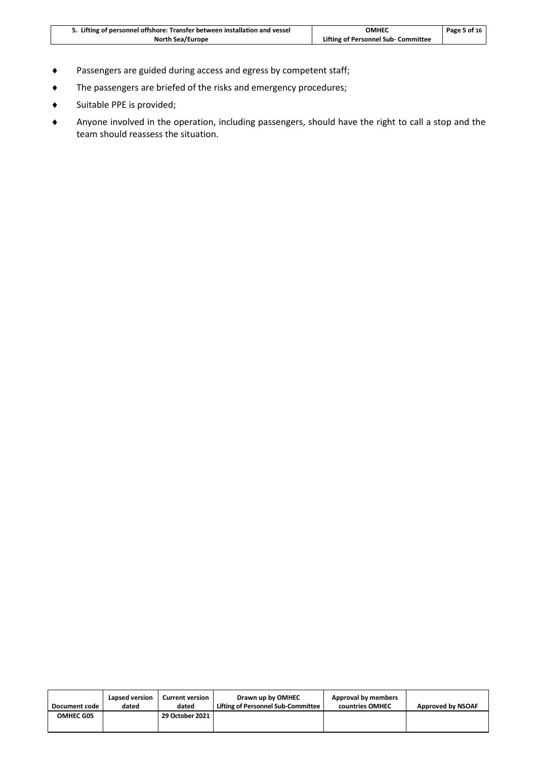| 5. Lifting of personnel offshore: Transfer between installation and vessel | OMHEC                               | Page 5 of 16 |
|----------------------------------------------------------------------------|-------------------------------------|--------------|
| <b>North Sea/Europe</b>                                                    | Lifting of Personnel Sub- Committee |              |

- Passengers are guided during access and egress by competent staff;
- The passengers are briefed of the risks and emergency procedures;
- Suitable PPE is provided;
- Anyone involved in the operation, including passengers, should have the right to call a stop and the team should reassess the situation.

| Document code | Lapsed version<br>dated | <b>Current version</b><br>dated | Drawn up by OMHEC<br>Lifting of Personnel Sub-Committee | Approval by members<br>countries OMHEC | <b>Approved by NSOAF</b> |
|---------------|-------------------------|---------------------------------|---------------------------------------------------------|----------------------------------------|--------------------------|
| OMHEC G05     |                         | 29 October 2021                 |                                                         |                                        |                          |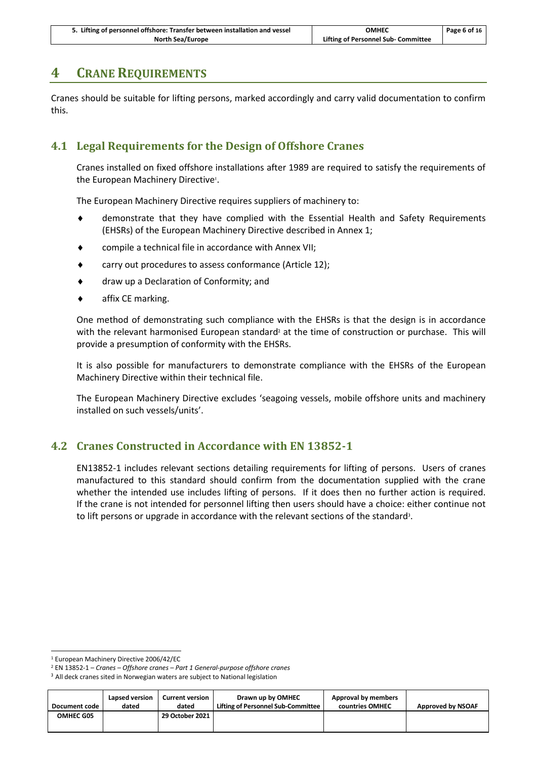| 5. Lifting of personnel offshore: Transfer between installation and vessel | ОМНЕС                              | Page 6 of 16 |
|----------------------------------------------------------------------------|------------------------------------|--------------|
| <b>North Sea/Europe</b>                                                    | Lifting of Personnel Sub-Committee |              |

### <span id="page-8-0"></span>**4 CRANE REQUIREMENTS**

Cranes should be suitable for lifting persons, marked accordingly and carry valid documentation to confirm this.

#### <span id="page-8-1"></span>**4.1 Legal Requirements for the Design of Offshore Cranes**

Cranes installed on fixed offshore installations after 1989 are required to satisfy the requirements of the European Machinery Directive<sup>1</sup>.

The European Machinery Directive requires suppliers of machinery to:

- demonstrate that they have complied with the Essential Health and Safety Requirements (EHSRs) of the European Machinery Directive described in Annex 1;
- ◆ compile a technical file in accordance with Annex VII;
- ◆ carry out procedures to assess conformance (Article 12);
- draw up a Declaration of Conformity; and
- ◆ affix CE marking.

One method of demonstrating such compliance with the EHSRs is that the design is in accordance with the relevant harmonised European standard<sup>2</sup> at the time of construction or purchase. This will provide a presumption of conformity with the EHSRs.

It is also possible for manufacturers to demonstrate compliance with the EHSRs of the European Machinery Directive within their technical file.

The European Machinery Directive excludes 'seagoing vessels, mobile offshore units and machinery installed on such vessels/units'.

#### <span id="page-8-2"></span>**4.2 Cranes Constructed in Accordance with EN 13852-1**

EN13852-1 includes relevant sections detailing requirements for lifting of persons. Users of cranes manufactured to this standard should confirm from the documentation supplied with the crane whether the intended use includes lifting of persons. If it does then no further action is required. If the crane is not intended for personnel lifting then users should have a choice: either continue not to lift persons or upgrade in accordance with the relevant sections of the standard<sup>3</sup>.

<sup>3</sup> All deck cranes sited in Norwegian waters are subject to National legislation

| Document code    | Lapsed version<br>dated | <b>Current version</b><br>dated | Drawn up by OMHEC<br>Lifting of Personnel Sub-Committee | Approval by members<br>countries OMHEC | <b>Approved by NSOAF</b> |
|------------------|-------------------------|---------------------------------|---------------------------------------------------------|----------------------------------------|--------------------------|
| <b>OMHEC G05</b> |                         | 29 October 2021                 |                                                         |                                        |                          |

<sup>1</sup> European Machinery Directive 2006/42/EC

<sup>2</sup> EN 13852-1 – *Cranes – Offshore cranes – Part 1 General-purpose offshore cranes*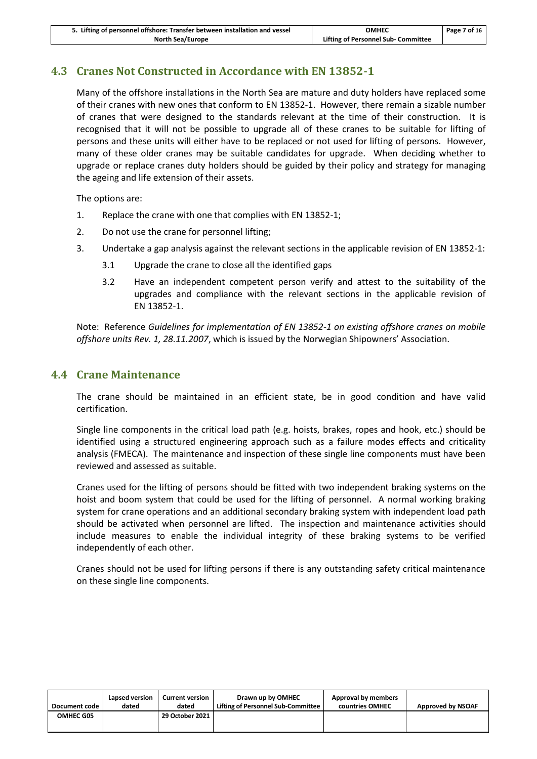| 5. Lifting of personnel offshore: Transfer between installation and vessel | ОМНЕС                              | Page 7 of 16 |
|----------------------------------------------------------------------------|------------------------------------|--------------|
| <b>North Sea/Europe</b>                                                    | Lifting of Personnel Sub-Committee |              |

#### <span id="page-9-0"></span>**4.3 Cranes Not Constructed in Accordance with EN 13852-1**

Many of the offshore installations in the North Sea are mature and duty holders have replaced some of their cranes with new ones that conform to EN 13852-1. However, there remain a sizable number of cranes that were designed to the standards relevant at the time of their construction. It is recognised that it will not be possible to upgrade all of these cranes to be suitable for lifting of persons and these units will either have to be replaced or not used for lifting of persons. However, many of these older cranes may be suitable candidates for upgrade. When deciding whether to upgrade or replace cranes duty holders should be guided by their policy and strategy for managing the ageing and life extension of their assets.

The options are:

- 1. Replace the crane with one that complies with EN 13852-1;
- 2. Do not use the crane for personnel lifting;
- 3. Undertake a gap analysis against the relevant sections in the applicable revision of EN 13852-1:
	- 3.1 Upgrade the crane to close all the identified gaps
	- 3.2 Have an independent competent person verify and attest to the suitability of the upgrades and compliance with the relevant sections in the applicable revision of EN 13852-1.

Note: Reference *Guidelines for implementation of EN 13852-1 on existing offshore cranes on mobile offshore units Rev. 1, 28.11.2007*, which is issued by the Norwegian Shipowners' Association.

#### <span id="page-9-1"></span>**4.4 Crane Maintenance**

The crane should be maintained in an efficient state, be in good condition and have valid certification.

Single line components in the critical load path (e.g. hoists, brakes, ropes and hook, etc.) should be identified using a structured engineering approach such as a failure modes effects and criticality analysis (FMECA). The maintenance and inspection of these single line components must have been reviewed and assessed as suitable.

Cranes used for the lifting of persons should be fitted with two independent braking systems on the hoist and boom system that could be used for the lifting of personnel. A normal working braking system for crane operations and an additional secondary braking system with independent load path should be activated when personnel are lifted. The inspection and maintenance activities should include measures to enable the individual integrity of these braking systems to be verified independently of each other.

Cranes should not be used for lifting persons if there is any outstanding safety critical maintenance on these single line components.

| Document code    | Lapsed version<br>dated | <b>Current version</b><br>dated | Drawn up by OMHEC<br>Lifting of Personnel Sub-Committee | Approval by members<br>countries OMHEC | <b>Approved by NSOAF</b> |
|------------------|-------------------------|---------------------------------|---------------------------------------------------------|----------------------------------------|--------------------------|
| <b>OMHEC G05</b> |                         | 29 October 2021                 |                                                         |                                        |                          |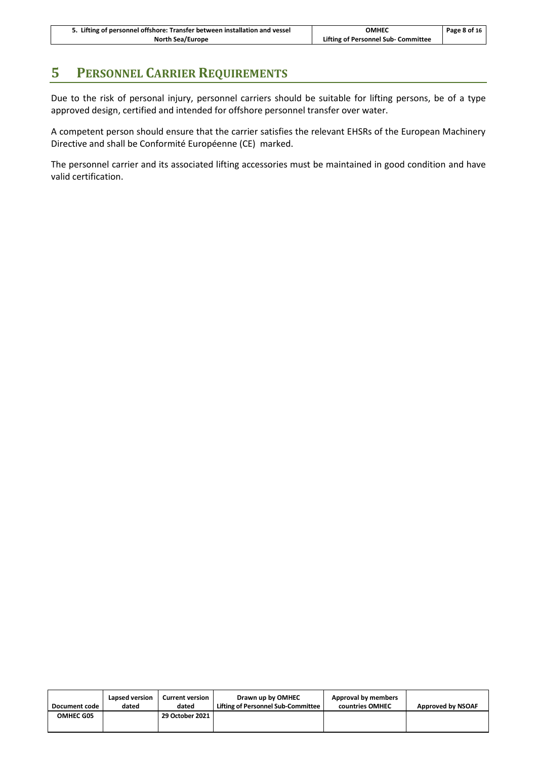| 5. Lifting of personnel offshore: Transfer between installation and vessel | ОМНЕС                              | Page 8 of 16 |
|----------------------------------------------------------------------------|------------------------------------|--------------|
| <b>North Sea/Europe</b>                                                    | Lifting of Personnel Sub-Committee |              |

# <span id="page-10-0"></span>**5 PERSONNEL CARRIER REQUIREMENTS**

Due to the risk of personal injury, personnel carriers should be suitable for lifting persons, be of a type approved design, certified and intended for offshore personnel transfer over water.

A competent person should ensure that the carrier satisfies the relevant EHSRs of the European Machinery Directive and shall be Conformité Européenne (CE) marked.

The personnel carrier and its associated lifting accessories must be maintained in good condition and have valid certification.

| Document code | Lapsed version<br>dated | <b>Current version</b><br>dated | Drawn up by OMHEC<br>Lifting of Personnel Sub-Committee | Approval by members<br>countries OMHEC | <b>Approved by NSOAF</b> |
|---------------|-------------------------|---------------------------------|---------------------------------------------------------|----------------------------------------|--------------------------|
| OMHEC G05     |                         | 29 October 2021                 |                                                         |                                        |                          |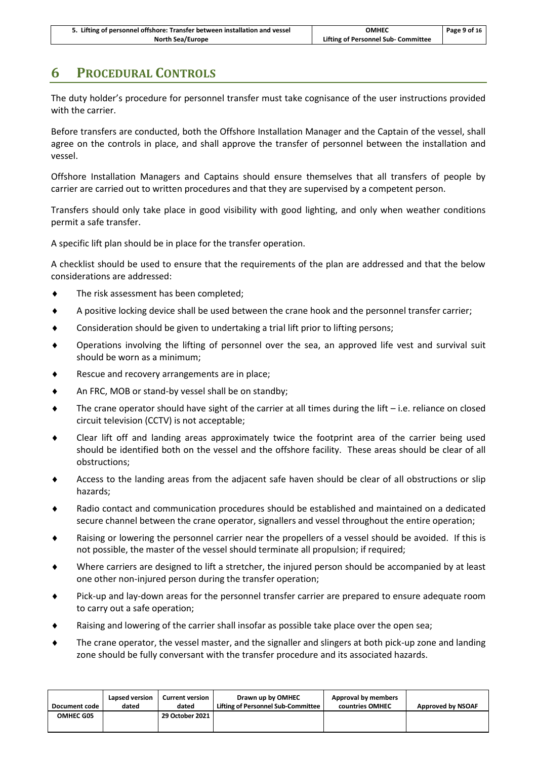| 5. Lifting of personnel offshore: Transfer between installation and vessel | OMHEC                              | Page 9 of 16 |
|----------------------------------------------------------------------------|------------------------------------|--------------|
| <b>North Sea/Europe</b>                                                    | Lifting of Personnel Sub-Committee |              |

# <span id="page-11-0"></span>**6 PROCEDURAL CONTROLS**

The duty holder's procedure for personnel transfer must take cognisance of the user instructions provided with the carrier.

Before transfers are conducted, both the Offshore Installation Manager and the Captain of the vessel, shall agree on the controls in place, and shall approve the transfer of personnel between the installation and vessel.

Offshore Installation Managers and Captains should ensure themselves that all transfers of people by carrier are carried out to written procedures and that they are supervised by a competent person.

Transfers should only take place in good visibility with good lighting, and only when weather conditions permit a safe transfer.

A specific lift plan should be in place for the transfer operation.

A checklist should be used to ensure that the requirements of the plan are addressed and that the below considerations are addressed:

- The risk assessment has been completed;
- A positive locking device shall be used between the crane hook and the personnel transfer carrier;
- Consideration should be given to undertaking a trial lift prior to lifting persons;
- Operations involving the lifting of personnel over the sea, an approved life vest and survival suit should be worn as a minimum;
- Rescue and recovery arrangements are in place;
- An FRC, MOB or stand-by vessel shall be on standby;
- The crane operator should have sight of the carrier at all times during the lift i.e. reliance on closed circuit television (CCTV) is not acceptable;
- Clear lift off and landing areas approximately twice the footprint area of the carrier being used should be identified both on the vessel and the offshore facility. These areas should be clear of all obstructions;
- Access to the landing areas from the adjacent safe haven should be clear of all obstructions or slip hazards;
- Radio contact and communication procedures should be established and maintained on a dedicated secure channel between the crane operator, signallers and vessel throughout the entire operation;
- Raising or lowering the personnel carrier near the propellers of a vessel should be avoided. If this is not possible, the master of the vessel should terminate all propulsion; if required;
- Where carriers are designed to lift a stretcher, the injured person should be accompanied by at least one other non-injured person during the transfer operation;
- Pick-up and lay-down areas for the personnel transfer carrier are prepared to ensure adequate room to carry out a safe operation;
- Raising and lowering of the carrier shall insofar as possible take place over the open sea;
- The crane operator, the vessel master, and the signaller and slingers at both pick-up zone and landing zone should be fully conversant with the transfer procedure and its associated hazards.

| Document code    | Lapsed version<br>dated | <b>Current version</b><br>dated | Drawn up by OMHEC<br>Lifting of Personnel Sub-Committee | Approval by members<br>countries OMHEC | <b>Approved by NSOAF</b> |
|------------------|-------------------------|---------------------------------|---------------------------------------------------------|----------------------------------------|--------------------------|
| <b>OMHEC G05</b> |                         | 29 October 2021                 |                                                         |                                        |                          |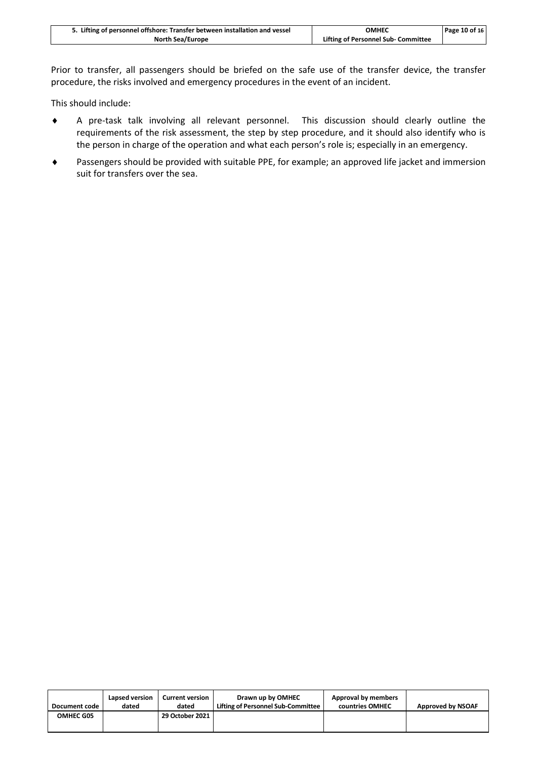| 5. Lifting of personnel offshore: Transfer between installation and vessel | <b>OMHEC</b>                       | <b>Page 10 of 16</b> |
|----------------------------------------------------------------------------|------------------------------------|----------------------|
| North Sea/Europe                                                           | Lifting of Personnel Sub-Committee |                      |

Prior to transfer, all passengers should be briefed on the safe use of the transfer device, the transfer procedure, the risks involved and emergency procedures in the event of an incident.

This should include:

- A pre-task talk involving all relevant personnel. This discussion should clearly outline the requirements of the risk assessment, the step by step procedure, and it should also identify who is the person in charge of the operation and what each person's role is; especially in an emergency.
- Passengers should be provided with suitable PPE, for example; an approved life jacket and immersion suit for transfers over the sea.

| Document code    | Lapsed version<br>dated | <b>Current version</b><br>dated | Drawn up by OMHEC<br>Lifting of Personnel Sub-Committee | Approval by members<br>countries OMHEC | <b>Approved by NSOAF</b> |
|------------------|-------------------------|---------------------------------|---------------------------------------------------------|----------------------------------------|--------------------------|
| <b>OMHEC G05</b> |                         | 29 October 2021                 |                                                         |                                        |                          |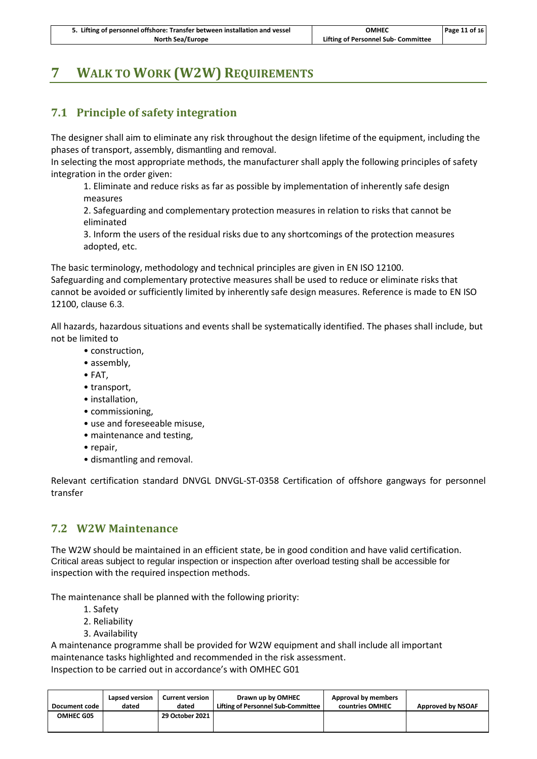# <span id="page-13-1"></span><span id="page-13-0"></span>**7 WALK TO WORK (W2W) REQUIREMENTS**

# **7.1 Principle of safety integration**

The designer shall aim to eliminate any risk throughout the design lifetime of the equipment, including the phases of transport, assembly, dismantling and removal.

In selecting the most appropriate methods, the manufacturer shall apply the following principles of safety integration in the order given:

1. Eliminate and reduce risks as far as possible by implementation of inherently safe design measures

2. Safeguarding and complementary protection measures in relation to risks that cannot be eliminated

3. Inform the users of the residual risks due to any shortcomings of the protection measures adopted, etc.

The basic terminology, methodology and technical principles are given in EN ISO 12100.

Safeguarding and complementary protective measures shall be used to reduce or eliminate risks that cannot be avoided or sufficiently limited by inherently safe design measures. Reference is made to EN ISO 12100, clause 6.3.

All hazards, hazardous situations and events shall be systematically identified. The phases shall include, but not be limited to

- construction,
- assembly,
- FAT,
- transport,
- installation,
- commissioning,
- use and foreseeable misuse,
- maintenance and testing,
- repair,
- dismantling and removal.

Relevant certification standard DNVGL DNVGL-ST-0358 Certification of offshore gangways for personnel transfer

#### <span id="page-13-2"></span>**7.2 W2W Maintenance**

The W2W should be maintained in an efficient state, be in good condition and have valid certification. Critical areas subject to regular inspection or inspection after overload testing shall be accessible for inspection with the required inspection methods.

The maintenance shall be planned with the following priority:

- 1. Safety
- 2. Reliability
- 3. Availability

A maintenance programme shall be provided for W2W equipment and shall include all important maintenance tasks highlighted and recommended in the risk assessment. Inspection to be carried out in accordance's with OMHEC G01

| Document code    | Lapsed version<br>dated | <b>Current version</b><br>dated | Drawn up by OMHEC<br>Lifting of Personnel Sub-Committee | Approval by members<br>countries OMHEC | <b>Approved by NSOAF</b> |
|------------------|-------------------------|---------------------------------|---------------------------------------------------------|----------------------------------------|--------------------------|
| <b>OMHEC G05</b> |                         | 29 October 2021                 |                                                         |                                        |                          |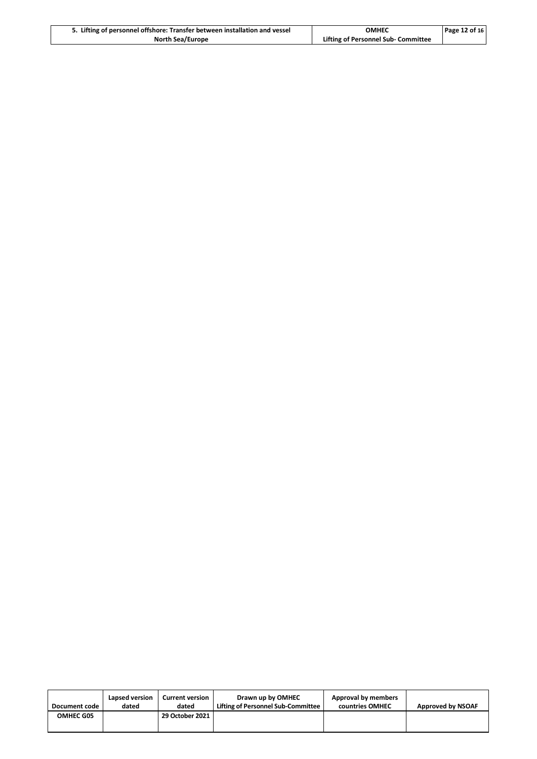| 5. Lifting of personnel offshore: Transfer between installation and vessel | ОМНЕС                              | Page 12 of 16 |
|----------------------------------------------------------------------------|------------------------------------|---------------|
| <b>North Sea/Europe</b>                                                    | Lifting of Personnel Sub-Committee |               |

| Document code    | Lapsed version<br>dated | <b>Current version</b><br>dated | Drawn up by OMHEC<br>Lifting of Personnel Sub-Committee | Approval by members<br>countries OMHEC | <b>Approved by NSOAF</b> |
|------------------|-------------------------|---------------------------------|---------------------------------------------------------|----------------------------------------|--------------------------|
| <b>OMHEC G05</b> |                         | 29 October 2021                 |                                                         |                                        |                          |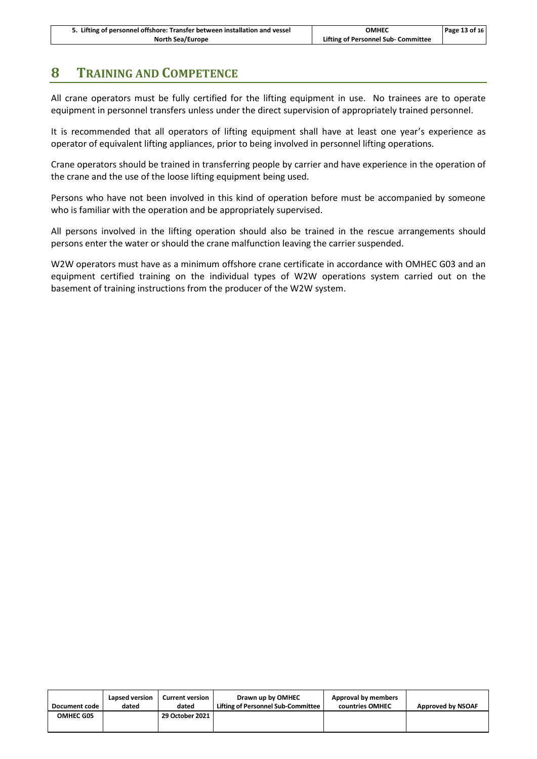| 5. Lifting of personnel offshore: Transfer between installation and vessel | <b>OMHEC</b>                       | Page 13 of 16 |
|----------------------------------------------------------------------------|------------------------------------|---------------|
| <b>North Sea/Europe</b>                                                    | Lifting of Personnel Sub-Committee |               |

#### <span id="page-15-0"></span>**8 TRAINING AND COMPETENCE**

All crane operators must be fully certified for the lifting equipment in use. No trainees are to operate equipment in personnel transfers unless under the direct supervision of appropriately trained personnel.

It is recommended that all operators of lifting equipment shall have at least one year's experience as operator of equivalent lifting appliances, prior to being involved in personnel lifting operations.

Crane operators should be trained in transferring people by carrier and have experience in the operation of the crane and the use of the loose lifting equipment being used.

Persons who have not been involved in this kind of operation before must be accompanied by someone who is familiar with the operation and be appropriately supervised.

All persons involved in the lifting operation should also be trained in the rescue arrangements should persons enter the water or should the crane malfunction leaving the carrier suspended.

W2W operators must have as a minimum offshore crane certificate in accordance with OMHEC G03 and an equipment certified training on the individual types of W2W operations system carried out on the basement of training instructions from the producer of the W2W system.

| Document code | Lapsed version<br>dated | <b>Current version</b><br>dated | Drawn up by OMHEC<br>Lifting of Personnel Sub-Committee | Approval by members<br>countries OMHEC | <b>Approved by NSOAF</b> |
|---------------|-------------------------|---------------------------------|---------------------------------------------------------|----------------------------------------|--------------------------|
| OMHEC G05     |                         | 29 October 2021                 |                                                         |                                        |                          |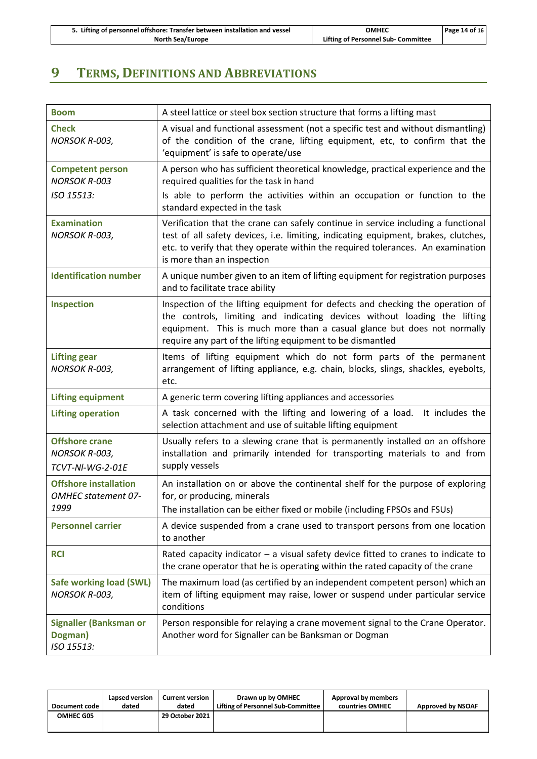| 5. Lifting of personnel offshore: Transfer between installation and vessel | <b>OMHEC</b>                       | Page 14 of 16 |
|----------------------------------------------------------------------------|------------------------------------|---------------|
| <b>North Sea/Europe</b>                                                    | Lifting of Personnel Sub-Committee |               |

# <span id="page-16-0"></span>**9 TERMS, DEFINITIONS AND ABBREVIATIONS**

| <b>Boom</b>                                                       | A steel lattice or steel box section structure that forms a lifting mast                                                                                                                                                                                                                            |
|-------------------------------------------------------------------|-----------------------------------------------------------------------------------------------------------------------------------------------------------------------------------------------------------------------------------------------------------------------------------------------------|
| <b>Check</b><br>NORSOK R-003,                                     | A visual and functional assessment (not a specific test and without dismantling)<br>of the condition of the crane, lifting equipment, etc, to confirm that the<br>'equipment' is safe to operate/use                                                                                                |
| <b>Competent person</b><br><b>NORSOK R-003</b><br>ISO 15513:      | A person who has sufficient theoretical knowledge, practical experience and the<br>required qualities for the task in hand<br>Is able to perform the activities within an occupation or function to the<br>standard expected in the task                                                            |
| <b>Examination</b><br>NORSOK R-003,                               | Verification that the crane can safely continue in service including a functional<br>test of all safety devices, i.e. limiting, indicating equipment, brakes, clutches,<br>etc. to verify that they operate within the required tolerances. An examination<br>is more than an inspection            |
| <b>Identification number</b>                                      | A unique number given to an item of lifting equipment for registration purposes<br>and to facilitate trace ability                                                                                                                                                                                  |
| <b>Inspection</b>                                                 | Inspection of the lifting equipment for defects and checking the operation of<br>the controls, limiting and indicating devices without loading the lifting<br>equipment. This is much more than a casual glance but does not normally<br>require any part of the lifting equipment to be dismantled |
| <b>Lifting gear</b><br>NORSOK R-003,                              | Items of lifting equipment which do not form parts of the permanent<br>arrangement of lifting appliance, e.g. chain, blocks, slings, shackles, eyebolts,<br>etc.                                                                                                                                    |
| <b>Lifting equipment</b>                                          | A generic term covering lifting appliances and accessories                                                                                                                                                                                                                                          |
| <b>Lifting operation</b>                                          | A task concerned with the lifting and lowering of a load.<br>It includes the<br>selection attachment and use of suitable lifting equipment                                                                                                                                                          |
| <b>Offshore crane</b><br><b>NORSOK R-003,</b><br>TCVT-NI-WG-2-01E | Usually refers to a slewing crane that is permanently installed on an offshore<br>installation and primarily intended for transporting materials to and from<br>supply vessels                                                                                                                      |
| <b>Offshore installation</b><br>OMHEC statement 07-<br>1999       | An installation on or above the continental shelf for the purpose of exploring<br>for, or producing, minerals<br>The installation can be either fixed or mobile (including FPSOs and FSUs)                                                                                                          |
| <b>Personnel carrier</b>                                          | A device suspended from a crane used to transport persons from one location<br>to another                                                                                                                                                                                                           |
| <b>RCI</b>                                                        | Rated capacity indicator $-$ a visual safety device fitted to cranes to indicate to<br>the crane operator that he is operating within the rated capacity of the crane                                                                                                                               |
| <b>Safe working load (SWL)</b><br>NORSOK R-003,                   | The maximum load (as certified by an independent competent person) which an<br>item of lifting equipment may raise, lower or suspend under particular service<br>conditions                                                                                                                         |
| <b>Signaller (Banksman or</b><br>Dogman)<br>ISO 15513:            | Person responsible for relaying a crane movement signal to the Crane Operator.<br>Another word for Signaller can be Banksman or Dogman                                                                                                                                                              |

| Document code    | Lapsed version<br>dated | <b>Current version</b><br>dated | Drawn up by OMHEC<br>Lifting of Personnel Sub-Committee | Approval by members<br>countries OMHEC | <b>Approved by NSOAF</b> |
|------------------|-------------------------|---------------------------------|---------------------------------------------------------|----------------------------------------|--------------------------|
| <b>OMHEC G05</b> |                         | 29 October 2021                 |                                                         |                                        |                          |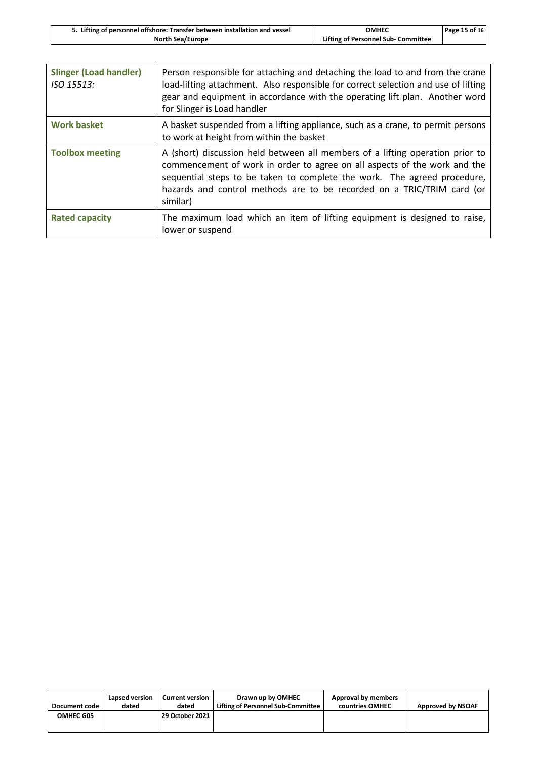| 5. Lifting of personnel offshore: Transfer between installation and vessel | <b>OMHEC</b>                        | Page 15 of 16 |
|----------------------------------------------------------------------------|-------------------------------------|---------------|
| <b>North Sea/Europe</b>                                                    | Lifting of Personnel Sub- Committee |               |

| <b>Slinger (Load handler)</b><br>ISO 15513: | Person responsible for attaching and detaching the load to and from the crane<br>load-lifting attachment. Also responsible for correct selection and use of lifting<br>gear and equipment in accordance with the operating lift plan. Another word<br>for Slinger is Load handler                                            |
|---------------------------------------------|------------------------------------------------------------------------------------------------------------------------------------------------------------------------------------------------------------------------------------------------------------------------------------------------------------------------------|
| <b>Work basket</b>                          | A basket suspended from a lifting appliance, such as a crane, to permit persons<br>to work at height from within the basket                                                                                                                                                                                                  |
| <b>Toolbox meeting</b>                      | A (short) discussion held between all members of a lifting operation prior to<br>commencement of work in order to agree on all aspects of the work and the<br>sequential steps to be taken to complete the work. The agreed procedure,<br>hazards and control methods are to be recorded on a TRIC/TRIM card (or<br>similar) |
| <b>Rated capacity</b>                       | The maximum load which an item of lifting equipment is designed to raise,<br>lower or suspend                                                                                                                                                                                                                                |

| Document code | Lapsed version<br>dated | <b>Current version</b><br>dated | Drawn up by OMHEC<br>Lifting of Personnel Sub-Committee | Approval by members<br>countries OMHEC | <b>Approved by NSOAF</b> |
|---------------|-------------------------|---------------------------------|---------------------------------------------------------|----------------------------------------|--------------------------|
| OMHEC G05     |                         | 29 October 2021                 |                                                         |                                        |                          |